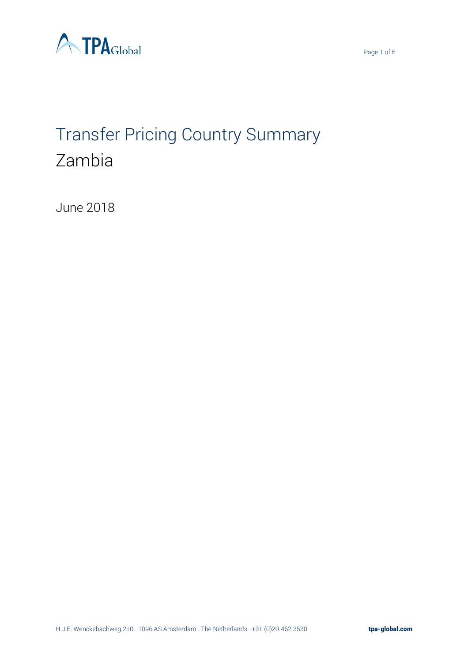



# Transfer Pricing Country Summary Zambia

June 2018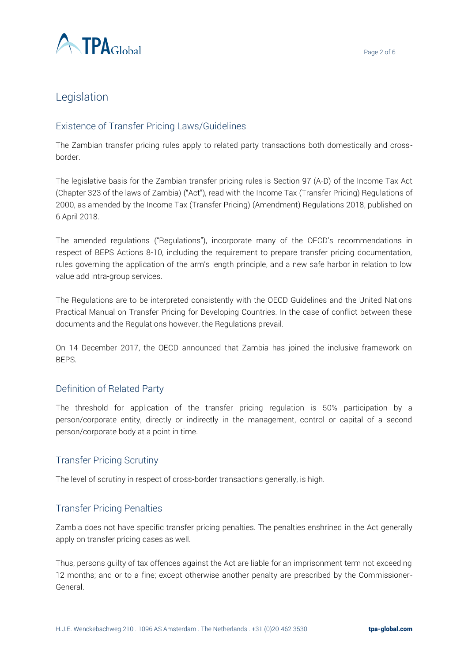

## Legislation

### Existence of Transfer Pricing Laws/Guidelines

The Zambian transfer pricing rules apply to related party transactions both domestically and crossborder.

The legislative basis for the Zambian transfer pricing rules is Section 97 (A-D) of the Income Tax Act (Chapter 323 of the laws of Zambia) ("Act"), read with the Income Tax (Transfer Pricing) Regulations of 2000, as amended by the Income Tax (Transfer Pricing) (Amendment) Regulations 2018, published on 6 April 2018.

The amended regulations ("Regulations"), incorporate many of the OECD's recommendations in respect of BEPS Actions 8-10, including the requirement to prepare transfer pricing documentation, rules governing the application of the arm's length principle, and a new safe harbor in relation to low value add intra-group services.

The Regulations are to be interpreted consistently with the OECD Guidelines and the United Nations Practical Manual on Transfer Pricing for Developing Countries. In the case of conflict between these documents and the Regulations however, the Regulations prevail.

On 14 December 2017, the OECD announced that Zambia has joined the inclusive framework on BEPS.

#### Definition of Related Party

The threshold for application of the transfer pricing regulation is 50% participation by a person/corporate entity, directly or indirectly in the management, control or capital of a second person/corporate body at a point in time.

#### Transfer Pricing Scrutiny

The level of scrutiny in respect of cross-border transactions generally, is high.

#### Transfer Pricing Penalties

Zambia does not have specific transfer pricing penalties. The penalties enshrined in the Act generally apply on transfer pricing cases as well.

Thus, persons guilty of tax offences against the Act are liable for an imprisonment term not exceeding 12 months; and or to a fine; except otherwise another penalty are prescribed by the Commissioner-General.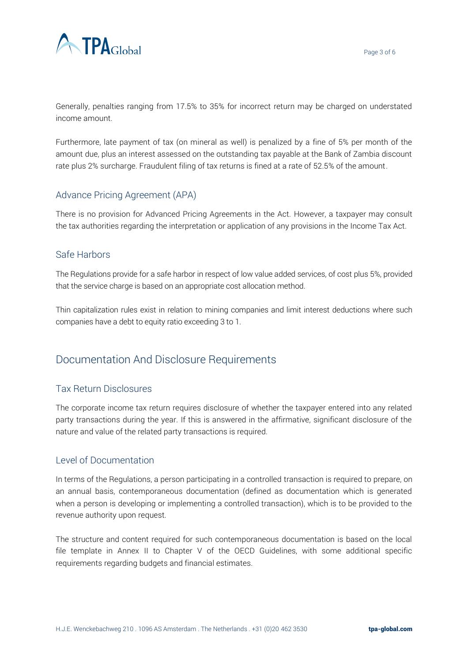

Generally, penalties ranging from 17.5% to 35% for incorrect return may be charged on understated income amount.

Furthermore, late payment of tax (on mineral as well) is penalized by a fine of 5% per month of the amount due, plus an interest assessed on the outstanding tax payable at the Bank of Zambia discount rate plus 2% surcharge. Fraudulent filing of tax returns is fined at a rate of 52.5% of the amount.

## Advance Pricing Agreement (APA)

There is no provision for Advanced Pricing Agreements in the Act. However, a taxpayer may consult the tax authorities regarding the interpretation or application of any provisions in the Income Tax Act.

#### Safe Harbors

The Regulations provide for a safe harbor in respect of low value added services, of cost plus 5%, provided that the service charge is based on an appropriate cost allocation method.

Thin capitalization rules exist in relation to mining companies and limit interest deductions where such companies have a debt to equity ratio exceeding 3 to 1.

## Documentation And Disclosure Requirements

#### Tax Return Disclosures

The corporate income tax return requires disclosure of whether the taxpayer entered into any related party transactions during the year. If this is answered in the affirmative, significant disclosure of the nature and value of the related party transactions is required.

#### Level of Documentation

In terms of the Regulations, a person participating in a controlled transaction is required to prepare, on an annual basis, contemporaneous documentation (defined as documentation which is generated when a person is developing or implementing a controlled transaction), which is to be provided to the revenue authority upon request.

The structure and content required for such contemporaneous documentation is based on the local file template in Annex II to Chapter V of the OECD Guidelines, with some additional specific requirements regarding budgets and financial estimates.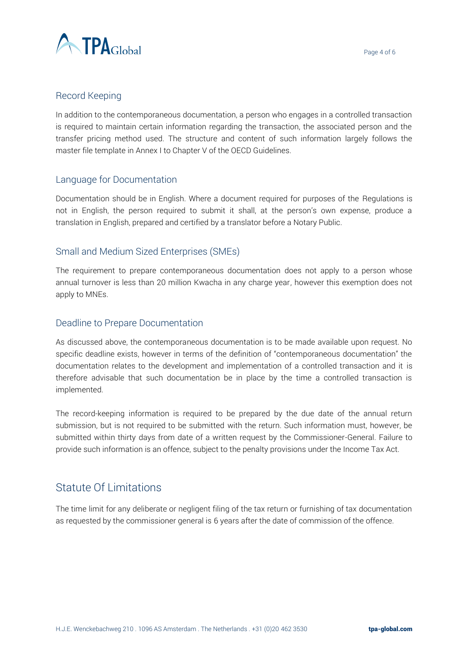



#### Record Keeping

In addition to the contemporaneous documentation, a person who engages in a controlled transaction is required to maintain certain information regarding the transaction, the associated person and the transfer pricing method used. The structure and content of such information largely follows the master file template in Annex I to Chapter V of the OECD Guidelines.

#### Language for Documentation

Documentation should be in English. Where a document required for purposes of the Regulations is not in English, the person required to submit it shall, at the person's own expense, produce a translation in English, prepared and certified by a translator before a Notary Public.

#### Small and Medium Sized Enterprises (SMEs)

The requirement to prepare contemporaneous documentation does not apply to a person whose annual turnover is less than 20 million Kwacha in any charge year, however this exemption does not apply to MNEs.

#### Deadline to Prepare Documentation

As discussed above, the contemporaneous documentation is to be made available upon request. No specific deadline exists, however in terms of the definition of "contemporaneous documentation" the documentation relates to the development and implementation of a controlled transaction and it is therefore advisable that such documentation be in place by the time a controlled transaction is implemented.

The record-keeping information is required to be prepared by the due date of the annual return submission, but is not required to be submitted with the return. Such information must, however, be submitted within thirty days from date of a written request by the Commissioner-General. Failure to provide such information is an offence, subject to the penalty provisions under the Income Tax Act.

## Statute Of Limitations

The time limit for any deliberate or negligent filing of the tax return or furnishing of tax documentation as requested by the commissioner general is 6 years after the date of commission of the offence.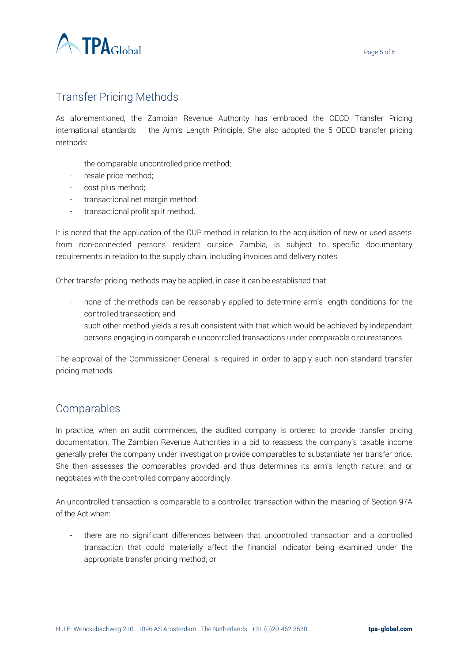

## Transfer Pricing Methods

As aforementioned, the Zambian Revenue Authority has embraced the OECD Transfer Pricing international standards – the Arm's Length Principle. She also adopted the 5 OECD transfer pricing methods:

- the comparable uncontrolled price method;
- resale price method;
- cost plus method;
- transactional net margin method;
- transactional profit split method.

It is noted that the application of the CUP method in relation to the acquisition of new or used assets from non-connected persons resident outside Zambia, is subject to specific documentary requirements in relation to the supply chain, including invoices and delivery notes.

Other transfer pricing methods may be applied, in case it can be established that:

- none of the methods can be reasonably applied to determine arm's length conditions for the controlled transaction; and
- such other method yields a result consistent with that which would be achieved by independent persons engaging in comparable uncontrolled transactions under comparable circumstances.

The approval of the Commissioner-General is required in order to apply such non-standard transfer pricing methods.

## Comparables

In practice, when an audit commences, the audited company is ordered to provide transfer pricing documentation. The Zambian Revenue Authorities in a bid to reassess the company's taxable income generally prefer the company under investigation provide comparables to substantiate her transfer price. She then assesses the comparables provided and thus determines its arm's length nature; and or negotiates with the controlled company accordingly.

An uncontrolled transaction is comparable to a controlled transaction within the meaning of Section 97A of the Act when:

there are no significant differences between that uncontrolled transaction and a controlled transaction that could materially affect the financial indicator being examined under the appropriate transfer pricing method; or